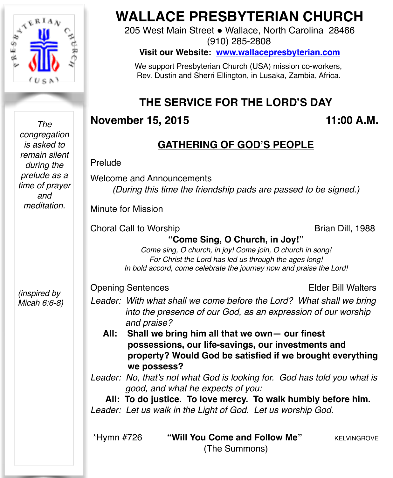

*The congregation is asked to remain silent during the prelude as a time of prayer and meditation.*

# **WALLACE PRESBYTERIAN CHURCH**

205 West Main Street . Wallace, North Carolina 28466 (910) 285-2808

**Visit our Website: [www.wallacepresbyterian.com](http://www.wallacepresbyterian.com)**

 We support Presbyterian Church (USA) mission co-workers, Rev. Dustin and Sherri Ellington, in Lusaka, Zambia, Africa.

## **THE SERVICE FOR THE LORD'S DAY**

## **November 15, 2015 11:00 A.M.**

## **GATHERING OF GOD'S PEOPLE**

Prelude

Welcome and Announcements *(During this time the friendship pads are passed to be signed.)*

Minute for Mission

Choral Call to Worship Brian Dill, 1988

#### **"Come Sing, O Church, in Joy!"**

*Come sing, O church, in joy! Come join, O church in song! For Christ the Lord has led us through the ages long! In bold accord, come celebrate the journey now and praise the Lord!*

Opening SentencesElder Bill Walters

*(inspired by Micah 6:6-8)*

- *Leader: With what shall we come before the Lord? What shall we bring into the presence of our God, as an expression of our worship and praise?*
	- **All: Shall we bring him all that we own— our finest possessions, our life-savings, our investments and property? Would God be satisfied if we brought everything we possess?**

*Leader: No, that's not what God is looking for. God has told you what is good, and what he expects of you:*

**All: To do justice. To love mercy. To walk humbly before him.** *Leader: Let us walk in the Light of God. Let us worship God.*

\*Hymn #726 **"Will You Come and Follow Me"** KELVINGROVE (The Summons)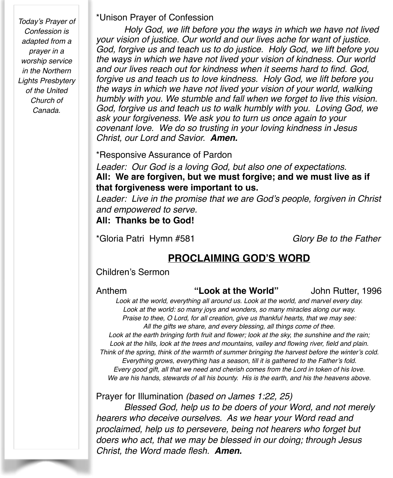*Today's Prayer of Confession is adapted from a prayer in a worship service in the Northern Lights Presbytery of the United Church of Canada.*

#### \*Unison Prayer of Confession

*Holy God, we lift before you the ways in which we have not lived your vision of justice. Our world and our lives ache for want of justice. God, forgive us and teach us to do justice. Holy God, we lift before you the ways in which we have not lived your vision of kindness. Our world and our lives reach out for kindness when it seems hard to find. God, forgive us and teach us to love kindness. Holy God, we lift before you the ways in which we have not lived your vision of your world, walking humbly with you. We stumble and fall when we forget to live this vision. God, forgive us and teach us to walk humbly with you. Loving God, we ask your forgiveness. We ask you to turn us once again to your covenant love. We do so trusting in your loving kindness in Jesus Christ, our Lord and Savior. Amen.* 

#### \*Responsive Assurance of Pardon

*Leader: Our God is a loving God, but also one of expectations.* **All: We are forgiven, but we must forgive; and we must live as if that forgiveness were important to us.**

*Leader: Live in the promise that we are God's people, forgiven in Christ and empowered to serve.*

**All: Thanks be to God!**

\*Gloria Patri Hymn #581 *Glory Be to the Father*

### **PROCLAIMING GOD'S WORD**

Children's Sermon

Anthem **"Look at the World"** John Rutter, 1996

*Look at the world, everything all around us. Look at the world, and marvel every day. Look at the world: so many joys and wonders, so many miracles along our way. Praise to thee, O Lord, for all creation, give us thankful hearts, that we may see: All the gifts we share, and every blessing, all things come of thee.*

*Look at the earth bringing forth fruit and flower; look at the sky, the sunshine and the rain; Look at the hills, look at the trees and mountains, valley and flowing river, field and plain. Think of the spring, think of the warmth of summer bringing the harvest before the winter's cold. Everything grows, everything has a season, till it is gathered to the Father's fold. Every good gift, all that we need and cherish comes from the Lord in token of his love. We are his hands, stewards of all his bounty. His is the earth, and his the heavens above.*

Prayer for Illumination *(based on James 1:22, 25)*

*Blessed God, help us to be doers of your Word, and not merely hearers who deceive ourselves. As we hear your Word read and proclaimed, help us to persevere, being not hearers who forget but doers who act, that we may be blessed in our doing; through Jesus Christ, the Word made flesh. Amen.*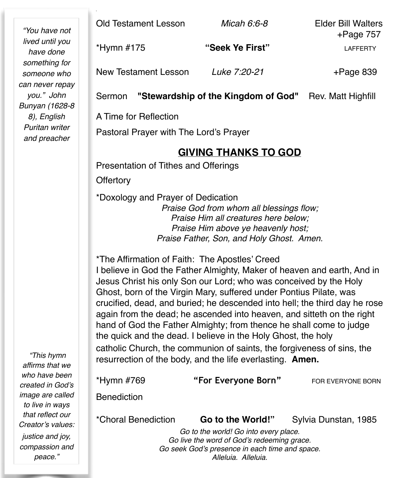*"You have not lived until you have done something for someone who can never repay you." John Bunyan (1628-8 8), English Puritan writer and preacher*

| <b>Old Testament Lesson</b> | Micah 6:6-8     | <b>Elder Bill Walters</b><br>$+$ Page 757 |
|-----------------------------|-----------------|-------------------------------------------|
| *Hymn $#175$                | "Seek Ye First" | <b>I AFFFRTY</b>                          |
| New Testament Lesson        | Luke 7:20-21    | $+$ Page 839                              |

Sermon **"Stewardship of the Kingdom of God"** Rev. Matt Highfill

A Time for Reflection

Pastoral Prayer with The Lord's Prayer

#### **GIVING THANKS TO GOD**

Presentation of Tithes and Offerings

**Offertory** 

\*Doxology and Prayer of Dedication *Praise God from whom all blessings flow; Praise Him all creatures here below; Praise Him above ye heavenly host; Praise Father, Son, and Holy Ghost. Amen.*

\*The Affirmation of Faith: The Apostles' Creed I believe in God the Father Almighty, Maker of heaven and earth, And in Jesus Christ his only Son our Lord; who was conceived by the Holy Ghost, born of the Virgin Mary, suffered under Pontius Pilate, was crucified, dead, and buried; he descended into hell; the third day he rose again from the dead; he ascended into heaven, and sitteth on the right hand of God the Father Almighty; from thence he shall come to judge the quick and the dead. I believe in the Holy Ghost, the holy catholic Church, the communion of saints, the forgiveness of sins, the resurrection of the body, and the life everlasting. **Amen.**

*"This hymn affirms that we who have been created in God's image are called to live in ways that reflect our Creator's values: justice and joy, compassion and peace."*

\*Hymn #769 **"For Everyone Born"** FOR EVERYONE BORN

Benediction

\*Choral Benediction **Go to the World!"** Sylvia Dunstan, 1985

*Go to the world! Go into every place. Go live the word of God's redeeming grace. Go seek God's presence in each time and space. Alleluia. Alleluia.*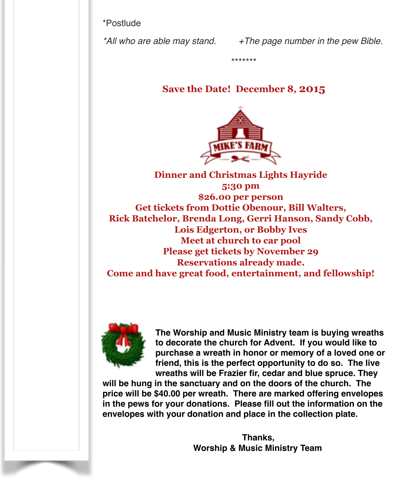\*Postlude

*\*All who are able may stand. +The page number in the pew Bible.*

\*\*\*\*\*\*\*

#### **Save the Date! December 8, 2015**



**Dinner and Christmas Lights Hayride 5:30 pm \$26.00 per person Get tickets from Dottie Obenour, Bill Walters, Rick Batchelor, Brenda Long, Gerri Hanson, Sandy Cobb, Lois Edgerton, or Bobby Ives Meet at church to car pool Please get tickets by November 29 Reservations already made. Come and have great food, entertainment, and fellowship!**



**The Worship and Music Ministry team is buying wreaths to decorate the church for Advent. If you would like to purchase a wreath in honor or memory of a loved one or friend, this is the perfect opportunity to do so. The live wreaths will be Frazier fir, cedar and blue spruce. They** 

**will be hung in the sanctuary and on the doors of the church. The price will be \$40.00 per wreath. There are marked offering envelopes in the pews for your donations. Please fill out the information on the envelopes with your donation and place in the collection plate. ! !**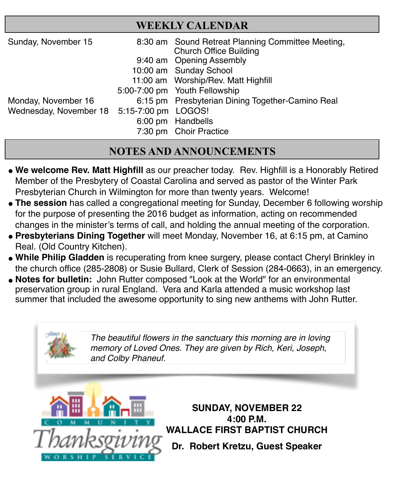| <b>WEEKLY CALENDAR</b>                     |  |                                                                                    |  |  |  |
|--------------------------------------------|--|------------------------------------------------------------------------------------|--|--|--|
| Sunday, November 15                        |  | 8:30 am Sound Retreat Planning Committee Meeting,<br><b>Church Office Building</b> |  |  |  |
|                                            |  | 9:40 am Opening Assembly                                                           |  |  |  |
|                                            |  | 10:00 am Sunday School                                                             |  |  |  |
|                                            |  | 11:00 am Worship/Rev. Matt Highfill                                                |  |  |  |
|                                            |  | 5:00-7:00 pm Youth Fellowship                                                      |  |  |  |
| Monday, November 16                        |  | 6:15 pm Presbyterian Dining Together-Camino Real                                   |  |  |  |
| Wednesday, November 18 5:15-7:00 pm LOGOS! |  |                                                                                    |  |  |  |
|                                            |  | 6:00 pm Handbells                                                                  |  |  |  |
|                                            |  | 7:30 pm Choir Practice                                                             |  |  |  |

## **NOTES AND ANNOUNCEMENTS**

- **" We welcome Rev. Matt Highfill** as our preacher today. Rev. Highfill is a Honorably Retired Member of the Presbytery of Coastal Carolina and served as pastor of the Winter Park Presbyterian Church in Wilmington for more than twenty years. Welcome!
- **The session** has called a congregational meeting for Sunday, December 6 following worship for the purpose of presenting the 2016 budget as information, acting on recommended changes in the minister's terms of call, and holding the annual meeting of the corporation.
- **Presbyterians Dining Together** will meet Monday, November 16, at 6:15 pm, at Camino Real. (Old Country Kitchen).
- **" While Philip Gladden** is recuperating from knee surgery, please contact Cheryl Brinkley in the church office (285-2808) or Susie Bullard, Clerk of Session (284-0663), in an emergency.
- **" Notes for bulletin:** John Rutter composed "Look at the World" for an environmental preservation group in rural England. Vera and Karla attended a music workshop last summer that included the awesome opportunity to sing new anthems with John Rutter.

*The beautiful flowers in the sanctuary this morning are in loving memory of Loved Ones. They are given by Rich, Keri, Joseph, and Colby Phaneuf.*



**SUNDAY, NOVEMBER 22 4:00 P.M. WALLACE FIRST BAPTIST CHURCH Dr. Robert Kretzu, Guest Speaker**